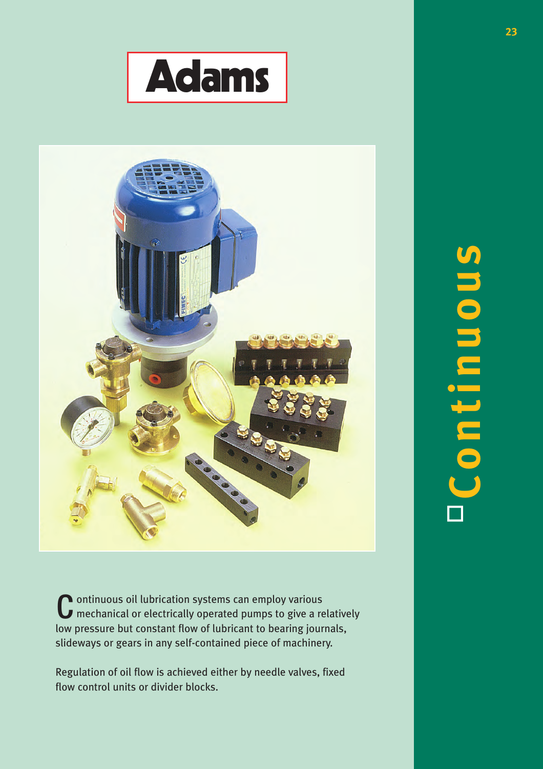



ontinuous oil lubrication systems can employ various **C** ontinuous oil lubrication systems can employ various<br> **C** mechanical or electrically operated pumps to give a relatively low pressure but constant flow of lubricant to bearing journals, slideways or gears in any self-contained piece of machinery.

Regulation of oil flow is achieved either by needle valves, fixed flow control units or divider blocks.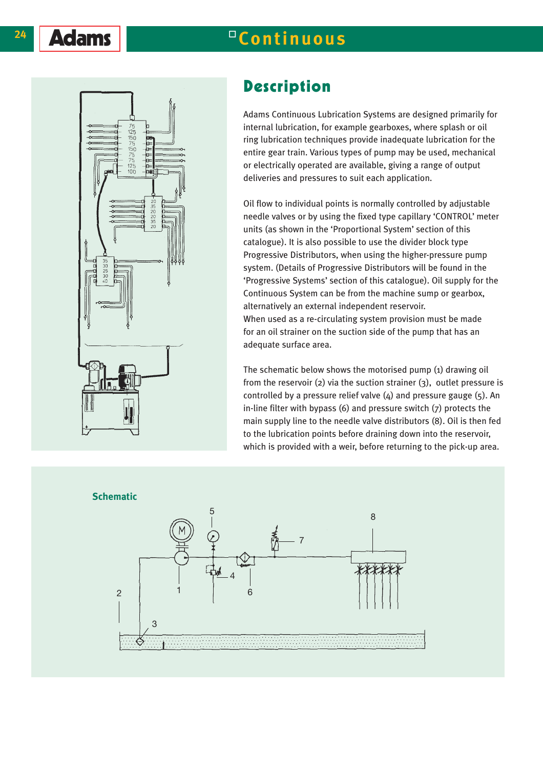# **24 | Adams**

# **Continuous**



### **Description**

Adams Continuous Lubrication Systems are designed primarily for internal lubrication, for example gearboxes, where splash or oil ring lubrication techniques provide inadequate lubrication for the entire gear train. Various types of pump may be used, mechanical or electrically operated are available, giving a range of output deliveries and pressures to suit each application.

Oil flow to individual points is normally controlled by adjustable needle valves or by using the fixed type capillary 'CONTROL' meter units (as shown in the 'Proportional System' section of this catalogue). It is also possible to use the divider block type Progressive Distributors, when using the higher-pressure pump system. (Details of Progressive Distributors will be found in the 'Progressive Systems' section of this catalogue). Oil supply for the Continuous System can be from the machine sump or gearbox, alternatively an external independent reservoir. When used as a re-circulating system provision must be made for an oil strainer on the suction side of the pump that has an adequate surface area.

The schematic below shows the motorised pump (1) drawing oil from the reservoir (2) via the suction strainer (3), outlet pressure is controlled by a pressure relief valve  $(4)$  and pressure gauge  $(5)$ . An in-line filter with bypass (6) and pressure switch (7) protects the main supply line to the needle valve distributors (8). Oil is then fed to the lubrication points before draining down into the reservoir, which is provided with a weir, before returning to the pick-up area.

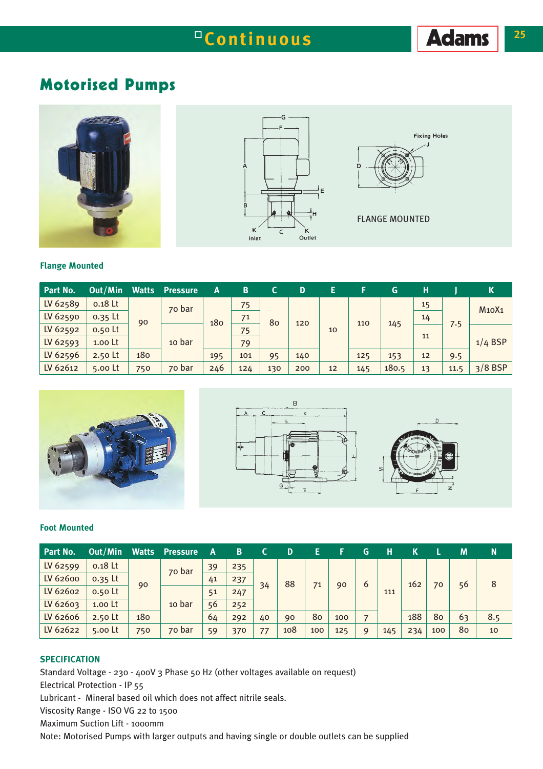# <sup>1</sup> Continuous **Adams** 25

# **Motorised Pumps**







#### **Flange Mounted**

| <b>Part No.</b> | Out/Min   | <b>Watts</b> | <b>Pressure</b> | A   | B   |     | D   | Е  |     | G     | н  |      | K.                             |
|-----------------|-----------|--------------|-----------------|-----|-----|-----|-----|----|-----|-------|----|------|--------------------------------|
| LV 62589        | 0.18 Lt   |              | 70 bar          |     | 75  |     |     |    |     |       | 15 |      | M <sub>10</sub> X <sub>1</sub> |
| LV 62590        | 0.35 Lt   | 90           |                 | 180 | 71  | 80  | 120 |    | 110 | 145   | 14 | 7.5  |                                |
| LV 62592        | 0.50 Lt   |              |                 |     | 75  |     |     | 10 |     |       | 11 |      |                                |
| LV 62593        | $1.00$ Lt |              | 10 bar          |     | 79  |     |     |    |     |       |    |      | $1/4$ BSP                      |
| LV 62596        | 2.50 Lt   | 180          |                 | 195 | 101 | 95  | 140 |    | 125 | 153   | 12 | 9.5  |                                |
| LV 62612        | 5.00 Lt   | 750          | 70 bar          | 246 | 124 | 130 | 200 | 12 | 145 | 180.5 | 13 | 11.5 | $3/8$ BSP                      |







#### **Foot Mounted**

| <b>Part No.</b> | Out/Min   |     | <b>Watts Pressure</b> | A  | B   |    | D   | Е   |     | G | н   |     |     | M  | N   |
|-----------------|-----------|-----|-----------------------|----|-----|----|-----|-----|-----|---|-----|-----|-----|----|-----|
| LV 62599        | 0.18 Lt   |     | 70 bar                | 39 | 235 |    |     |     |     |   |     |     |     |    |     |
| LV 62600        | $0.35$ Lt | 90  |                       | 41 | 237 | 34 | 88  | 71  | 90  | 6 |     | 162 | 70  | 56 | 8   |
| LV 62602        | 0.50 Lt   |     |                       | 51 | 247 |    |     |     |     |   | 111 |     |     |    |     |
| LV 62603        | 1.00 Lt   |     | 10 bar                | 56 | 252 |    |     |     |     |   |     |     |     |    |     |
| LV 62606        | 2.50 Lt   | 180 |                       | 64 | 292 | 40 | 90  | 80  | 100 |   |     | 188 | 80  | 63 | 8.5 |
| LV 62622        | 5.00 Lt   | 750 | 70 bar                | 59 | 370 | 77 | 108 | 100 | 125 | Q | 145 | 234 | 100 | 80 | 10  |

#### **SPECIFICATION**

Standard Voltage - 230 - 400V 3 Phase 50 Hz (other voltages available on request)

Electrical Protection - IP 55

Lubricant - Mineral based oil which does not affect nitrile seals.

Viscosity Range - ISO VG 22 to 1500

Maximum Suction Lift - 1000mm

Note: Motorised Pumps with larger outputs and having single or double outlets can be supplied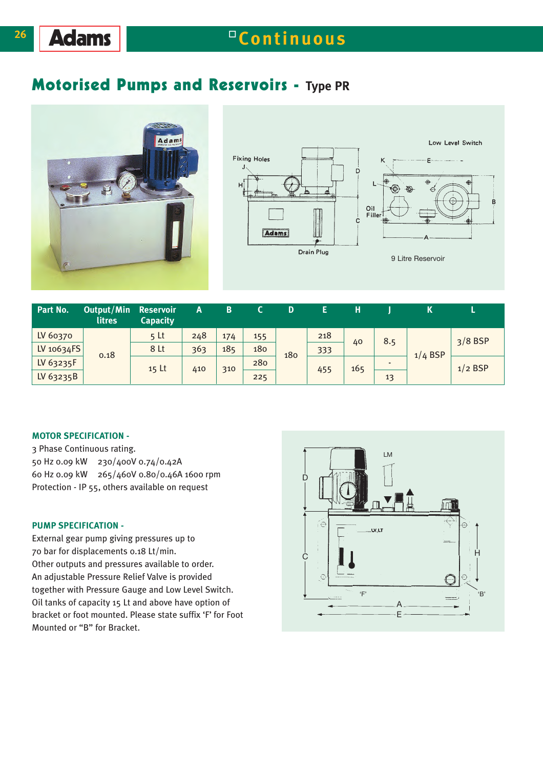# **Continuous**

### **Motorised Pumps and Reservoirs - Type PR**







| Part No.   | Output/Min<br><b>litres</b> | <b>Reservoir</b><br><b>Capacity</b> | Α   | В   |     |     |     | н   |                          |           |           |
|------------|-----------------------------|-------------------------------------|-----|-----|-----|-----|-----|-----|--------------------------|-----------|-----------|
| LV 60370   |                             | 5 <sub>kt</sub>                     | 248 | 174 | 155 |     | 218 | 40  | 8.5                      |           | $3/8$ BSP |
| LV 10634FS | 0.18                        | 8 Lt                                | 363 | 185 | 180 | 180 | 333 |     |                          | $1/4$ BSP |           |
| LV 63235F  |                             | $15$ Lt                             | 410 | 310 | 280 |     | 455 | 165 | $\overline{\phantom{0}}$ |           | $1/2$ BSP |
| LV 63235B  |                             |                                     |     |     | 225 |     |     |     | 13                       |           |           |

#### **MOTOR SPECIFICATION -**

3 Phase Continuous rating. 50 Hz 0.09 kW 230/400V 0.74/0.42A 60 Hz 0.09 kW 265/460V 0.80/0.46A 1600 rpm Protection - IP 55, others available on request

#### **PUMP SPECIFICATION -**

External gear pump giving pressures up to 70 bar for displacements 0.18 Lt/min. Other outputs and pressures available to order. An adjustable Pressure Relief Valve is provided together with Pressure Gauge and Low Level Switch. Oil tanks of capacity 15 Lt and above have option of bracket or foot mounted. Please state suffix 'F' for Foot Mounted or "B" for Bracket.

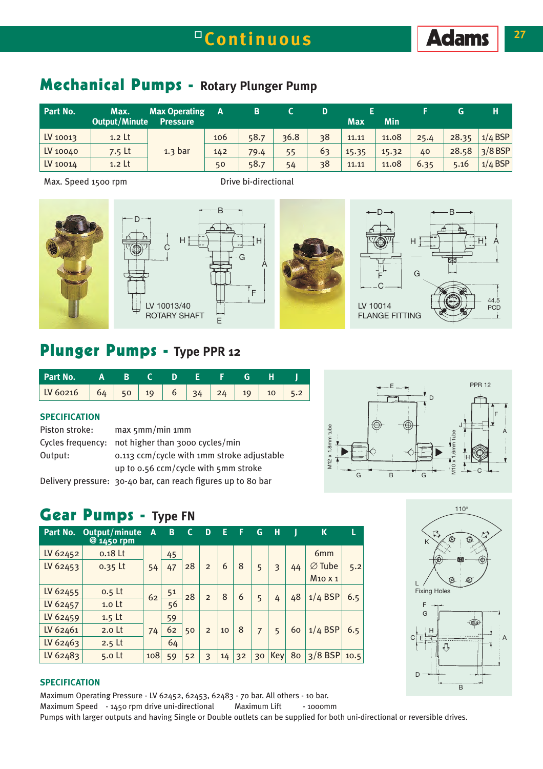## **Mechanical Pumps - Rotary Plunger Pump**

| Part No. | Max.<br><b>Output/Minute</b> | <b>Max Operating</b><br><b>Pressure</b> | A   | В    |      |    | <b>Max</b> | Min   |      | G     | н         |
|----------|------------------------------|-----------------------------------------|-----|------|------|----|------------|-------|------|-------|-----------|
| LV 10013 | $1.2$ Lt                     |                                         | 106 | 58.7 | 36.8 | 38 | 11.11      | 11.08 | 25.4 | 28.35 | $1/4$ BSP |
| LV 10040 | 7.5 Lt                       | 1.3 <sub>b</sub>                        | 142 | 79.4 | 55   | 63 | 15.35      | 15.32 | 40   | 28.58 | $3/8$ BSP |
| LV 10014 | $1.2$ Lt                     |                                         | 50  | 58.7 | 54   | 38 | 11.11      | 11.08 | 6.35 | 5.16  | $1/4$ BSP |

Max. Speed 1500 rpm Drive bi-directional







## **Plunger Pumps - Type PPR 12**

| Part No. A B C D E F G H J |  |  |  |  |  |
|----------------------------|--|--|--|--|--|
|                            |  |  |  |  |  |

#### **SPECIFICATION**

| Piston stroke:    | $max$ 5mm/min 1mm                          |
|-------------------|--------------------------------------------|
| Cycles frequency: | not higher than 3000 cycles/min            |
| Output:           | 0.113 ccm/cycle with 1mm stroke adjustable |
|                   | up to 0.56 ccm/cycle with 5mm stroke       |

Delivery pressure: 30-40 bar, can reach figures up to 80 bar

# **Gear Pumps - Type FN**

| Part No. | Output/minute<br>$@$ 1450 rpm | A   | B  | $\mathsf{C}$ | D              | E  | F  | G              | н          |    | K                              | L    |
|----------|-------------------------------|-----|----|--------------|----------------|----|----|----------------|------------|----|--------------------------------|------|
| LV 62452 | $0.18$ Lt                     |     | 45 |              |                |    |    |                |            |    | 6 <sub>mm</sub>                |      |
| LV 62453 | 0.35 Lt                       | 54  | 47 | 28           | $\overline{2}$ | 6  | 8  | 5              |            | 44 | $\varnothing$ Tube             | 5.2  |
|          |                               |     |    |              |                |    |    |                |            |    | M <sub>10</sub> x <sub>1</sub> |      |
| LV 62455 | $0.5$ Lt                      | 62  | 51 | 28           | $\overline{2}$ | 8  | 6  | 5              | 4          | 48 | $1/4$ BSP                      | 6.5  |
| LV 62457 | 1.0 <sub>lt</sub>             |     | 56 |              |                |    |    |                |            |    |                                |      |
| LV 62459 | $1.5$ Lt                      |     | 59 |              |                |    |    |                |            |    |                                |      |
| LV 62461 | 2.0 <sub>lt</sub>             | 74  | 62 | 50           | $\overline{2}$ | 10 | 8  | $\overline{7}$ | 5          | 60 | $1/4$ BSP                      | 6.5  |
| LV 62463 | $2.5$ Lt                      |     | 64 |              |                |    |    |                |            |    |                                |      |
| LV 62483 | 5.0 <sub>kt</sub>             | 108 | 59 | 52           | 3              | 14 | 32 | 30             | <b>Key</b> | 80 | $3/8$ BSP                      | 10.5 |

### **SPECIFICATION**

Maximum Operating Pressure - LV 62452, 62453, 62483 - 70 bar. All others - 10 bar. Maximum Speed - 1450 rpm drive uni-directional Maximum Lift - 1000mm Pumps with larger outputs and having Single or Double outlets can be supplied for both uni-directional or reversible drives.



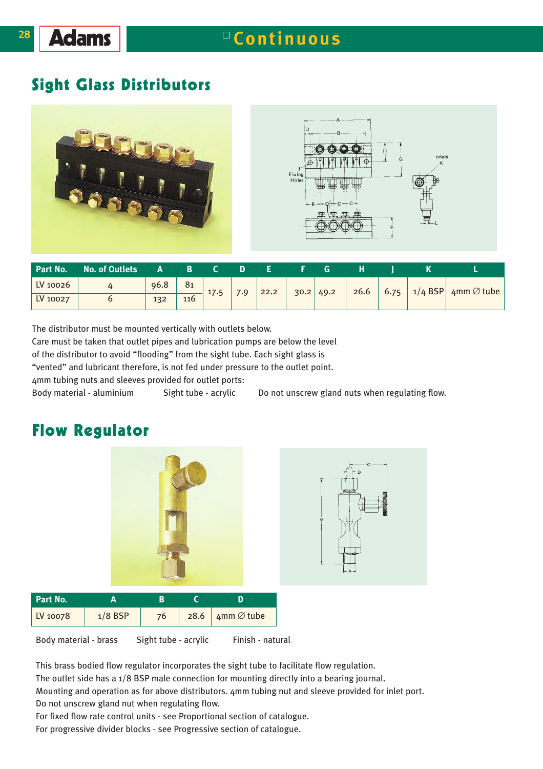# **Sight Glass Distributors**

| $\sim$ $\sim$<br>$\overline{\phantom{a}}$<br>D<br>н<br>Inlets<br>G<br>К<br>Fixing<br>Holes<br>क्त<br>$\oplus$<br>⇜<br>. .<br>$-E \rightarrow Q \rightarrow C + C$<br>霊<br>₩<br><b>TIP</b><br>里<br>--<br>ᆧ<br>$\cdots$ $\cdots$<br>-- |
|--------------------------------------------------------------------------------------------------------------------------------------------------------------------------------------------------------------------------------------|
|--------------------------------------------------------------------------------------------------------------------------------------------------------------------------------------------------------------------------------------|

| Part No. | <b>No. of Outlets</b> |      |            |      |      |      |      |      |      |           |                    |
|----------|-----------------------|------|------------|------|------|------|------|------|------|-----------|--------------------|
| LV 10026 |                       | 96.8 | 81         | 17.5 | 22.2 | 30.2 | 49.2 | 26.6 | 6.75 | $1/4$ BSP | $4mm \oslash$ tube |
| LV 10027 |                       | 132  | <b>116</b> |      |      |      |      |      |      |           |                    |

The distributor must be mounted vertically with outlets below.

Care must be taken that outlet pipes and lubrication pumps are below the level

of the distributor to avoid "flooding" from the sight tube. Each sight glass is

"vented" and lubricant therefore, is not fed under pressure to the outlet point.

4mm tubing nuts and sleeves provided for outlet ports:

Body material - aluminium Sight tube - acrylic Do not unscrew gland nuts when regulating flow.

# **Flow Regulator**





| Part No. |           |    |                               |
|----------|-----------|----|-------------------------------|
| LV 10078 | $1/8$ BSP | 76 | $28.6$ 4mm $\varnothing$ tube |
|          |           |    |                               |

Body material - brass Sight tube - acrylic Finish - natural

This brass bodied flow regulator incorporates the sight tube to facilitate flow regulation.

The outlet side has a 1/8 BSP male connection for mounting directly into a bearing journal.

Mounting and operation as for above distributors. 4mm tubing nut and sleeve provided for inlet port. Do not unscrew gland nut when regulating flow.

For fixed flow rate control units - see Proportional section of catalogue.

For progressive divider blocks - see Progressive section of catalogue.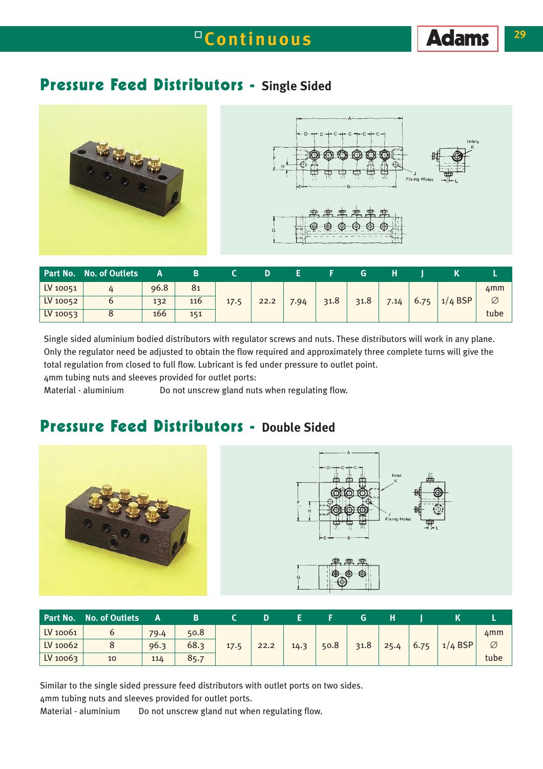### **Pressure Feed Distributors - Single Sided**



|          | Part No. No. of Outlets |      |     |      |      |      |      |      |      |      |           |      |
|----------|-------------------------|------|-----|------|------|------|------|------|------|------|-----------|------|
| LV 10051 |                         | 96.8 | 81  |      |      |      |      |      |      |      |           | 4mm  |
| LV 10052 |                         | 132  | 116 | 17.5 | 22.2 | 7.94 | 31.8 | 31.8 | 7.14 | 6.75 | $1/4$ BSP | Ø    |
| LV 10053 |                         | 166  | 151 |      |      |      |      |      |      |      |           | tube |

Single sided aluminium bodied distributors with regulator screws and nuts. These distributors will work in any plane. Only the regulator need be adjusted to obtain the flow required and approximately three complete turns will give the total regulation from closed to full flow. Lubricant is fed under pressure to outlet point.

4mm tubing nuts and sleeves provided for outlet ports:

Material - aluminium Do not unscrew gland nuts when regulating flow.

## **Pressure Feed Distributors - Double Sided**





| Part No. | <b>No. of Outlets</b> |      |      |      |      |      |      |      |      |      |           |      |
|----------|-----------------------|------|------|------|------|------|------|------|------|------|-----------|------|
| LV 10061 |                       | 79.4 | 50.8 |      |      |      |      |      |      |      |           | 4mm  |
| LV 10062 |                       | 96.3 | 68.3 | 17.5 | 22.2 | 14.3 | 50.8 | 31.8 | 25.4 | 6.75 | $1/4$ BSP | Ø    |
| LV 10063 | 10                    | 114  | 85.7 |      |      |      |      |      |      |      |           | tube |

Similar to the single sided pressure feed distributors with outlet ports on two sides.

4mm tubing nuts and sleeves provided for outlet ports.

Material - aluminium Do not unscrew gland nut when regulating flow.